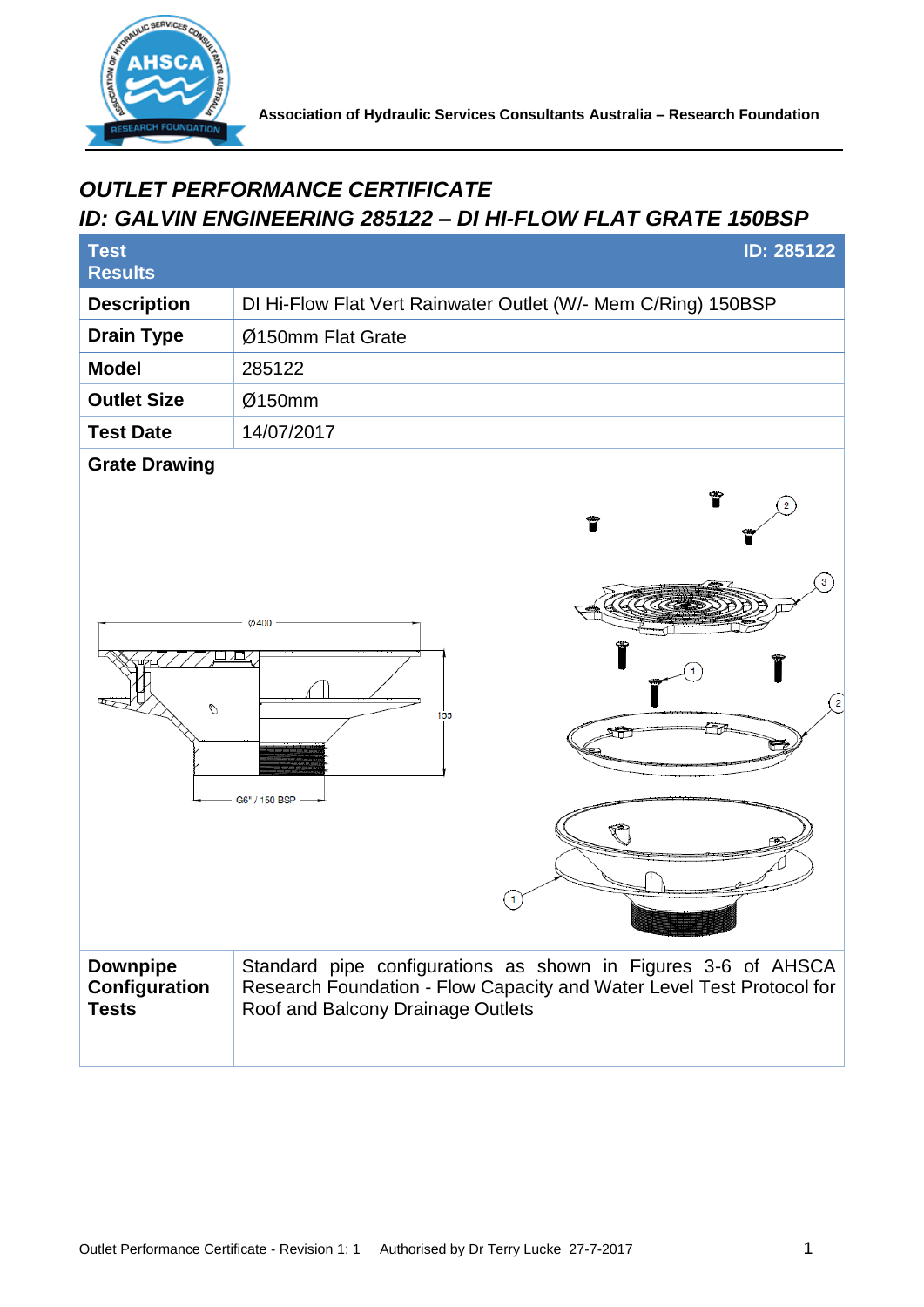

## *OUTLET PERFORMANCE CERTIFICATE ID: GALVIN ENGINEERING 285122 – DI HI-FLOW FLAT GRATE 150BSP*

| <b>Test</b><br><b>Results</b>                    | <b>ID: 285122</b>                                                                                                                                                           |
|--------------------------------------------------|-----------------------------------------------------------------------------------------------------------------------------------------------------------------------------|
| <b>Description</b>                               | DI Hi-Flow Flat Vert Rainwater Outlet (W/- Mem C/Ring) 150BSP                                                                                                               |
| <b>Drain Type</b>                                | Ø150mm Flat Grate                                                                                                                                                           |
| <b>Model</b>                                     | 285122                                                                                                                                                                      |
| <b>Outlet Size</b>                               | Ø150mm                                                                                                                                                                      |
| <b>Test Date</b>                                 | 14/07/2017                                                                                                                                                                  |
| <b>Grate Drawing</b><br>O                        | Ÿ<br>Ÿ<br>$\emptyset$ 400<br>$\overline{\mathbf{c}}$<br>155<br>G6" / 150 BSP                                                                                                |
| <b>Downpipe</b><br>Configuration<br><b>Tests</b> | Standard pipe configurations as shown in Figures 3-6 of AHSCA<br>Research Foundation - Flow Capacity and Water Level Test Protocol for<br>Roof and Balcony Drainage Outlets |